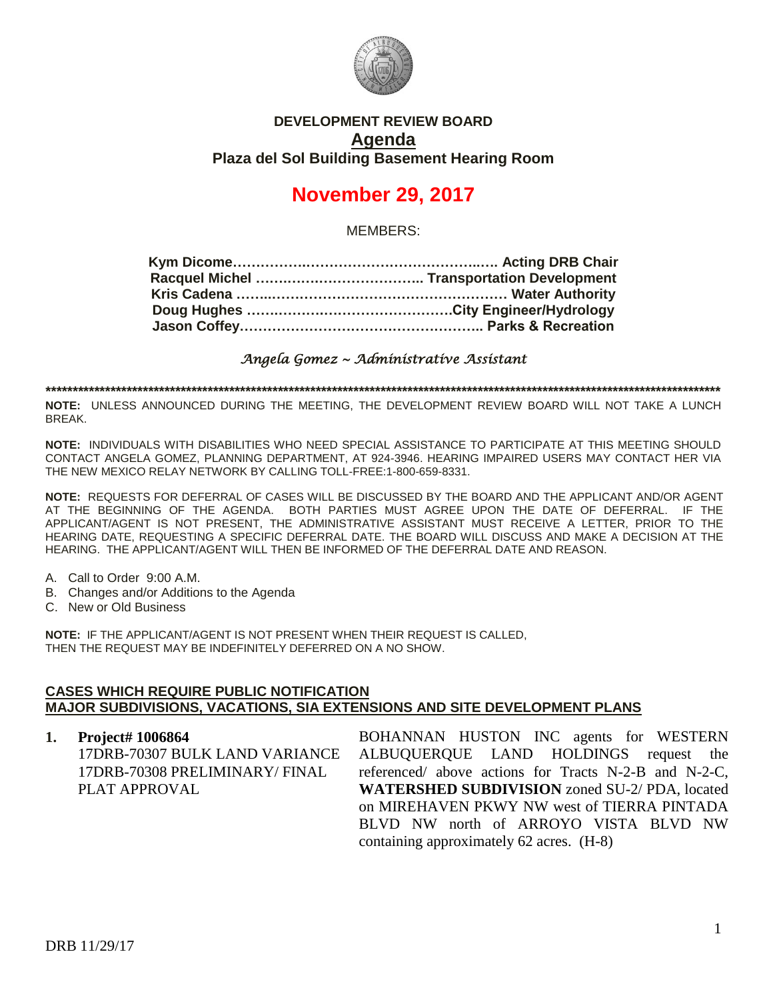

## **DEVELOPMENT REVIEW BOARD Agenda Plaza del Sol Building Basement Hearing Room**

## **November 29, 2017**

MEMBERS:

*Angela Gomez ~ Administrative Assistant* 

**\*\*\*\*\*\*\*\*\*\*\*\*\*\*\*\*\*\*\*\*\*\*\*\*\*\*\*\*\*\*\*\*\*\*\*\*\*\*\*\*\*\*\*\*\*\*\*\*\*\*\*\*\*\*\*\*\*\*\*\*\*\*\*\*\*\*\*\*\*\*\*\*\*\*\*\*\*\*\*\*\*\*\*\*\*\*\*\*\*\*\*\*\*\*\*\*\*\*\*\*\*\*\*\*\*\*\*\*\*\*\*\*\*\*\*\*\*\*\*\*\*\*\*\*\***

**NOTE:** UNLESS ANNOUNCED DURING THE MEETING, THE DEVELOPMENT REVIEW BOARD WILL NOT TAKE A LUNCH BREAK.

**NOTE:** INDIVIDUALS WITH DISABILITIES WHO NEED SPECIAL ASSISTANCE TO PARTICIPATE AT THIS MEETING SHOULD CONTACT ANGELA GOMEZ, PLANNING DEPARTMENT, AT 924-3946. HEARING IMPAIRED USERS MAY CONTACT HER VIA THE NEW MEXICO RELAY NETWORK BY CALLING TOLL-FREE:1-800-659-8331.

**NOTE:** REQUESTS FOR DEFERRAL OF CASES WILL BE DISCUSSED BY THE BOARD AND THE APPLICANT AND/OR AGENT AT THE BEGINNING OF THE AGENDA. BOTH PARTIES MUST AGREE UPON THE DATE OF DEFERRAL. IF THE APPLICANT/AGENT IS NOT PRESENT, THE ADMINISTRATIVE ASSISTANT MUST RECEIVE A LETTER, PRIOR TO THE HEARING DATE, REQUESTING A SPECIFIC DEFERRAL DATE. THE BOARD WILL DISCUSS AND MAKE A DECISION AT THE HEARING. THE APPLICANT/AGENT WILL THEN BE INFORMED OF THE DEFERRAL DATE AND REASON.

- A. Call to Order 9:00 A.M.
- B. Changes and/or Additions to the Agenda
- C. New or Old Business

**NOTE:** IF THE APPLICANT/AGENT IS NOT PRESENT WHEN THEIR REQUEST IS CALLED, THEN THE REQUEST MAY BE INDEFINITELY DEFERRED ON A NO SHOW.

## **CASES WHICH REQUIRE PUBLIC NOTIFICATION MAJOR SUBDIVISIONS, VACATIONS, SIA EXTENSIONS AND SITE DEVELOPMENT PLANS**

**1. Project# 1006864** 17DRB-70307 BULK LAND VARIANCE 17DRB-70308 PRELIMINARY/ FINAL PLAT APPROVAL BOHANNAN HUSTON INC agents for WESTERN ALBUQUERQUE LAND HOLDINGS request the referenced/ above actions for Tracts N-2-B and N-2-C, **WATERSHED SUBDIVISION** zoned SU-2/ PDA, located on MIREHAVEN PKWY NW west of TIERRA PINTADA BLVD NW north of ARROYO VISTA BLVD NW containing approximately 62 acres. (H-8)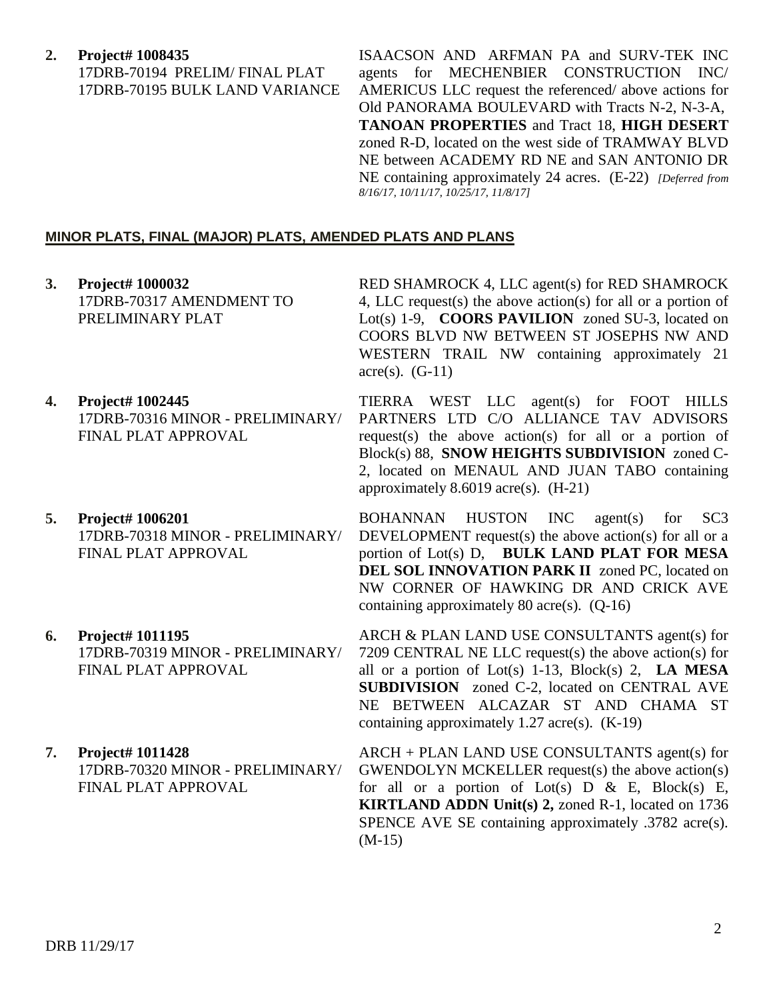**2. Project# 1008435**

17DRB-70194 PRELIM/ FINAL PLAT 17DRB-70195 BULK LAND VARIANCE ISAACSON AND ARFMAN PA and SURV-TEK INC agents for MECHENBIER CONSTRUCTION INC/ AMERICUS LLC request the referenced/ above actions for Old PANORAMA BOULEVARD with Tracts N-2, N-3-A, **TANOAN PROPERTIES** and Tract 18, **HIGH DESERT** zoned R-D, located on the west side of TRAMWAY BLVD NE between ACADEMY RD NE and SAN ANTONIO DR NE containing approximately 24 acres. (E-22) *[Deferred from 8/16/17, 10/11/17, 10/25/17, 11/8/17]*

## **MINOR PLATS, FINAL (MAJOR) PLATS, AMENDED PLATS AND PLANS**

- **3. Project# 1000032** 17DRB-70317 AMENDMENT TO PRELIMINARY PLAT
- **4. Project# 1002445** 17DRB-70316 MINOR - PRELIMINARY/ FINAL PLAT APPROVAL
- **5. Project# 1006201** 17DRB-70318 MINOR - PRELIMINARY/ FINAL PLAT APPROVAL
- **6. Project# 1011195** 17DRB-70319 MINOR - PRELIMINARY/ FINAL PLAT APPROVAL
- **7. Project# 1011428** 17DRB-70320 MINOR - PRELIMINARY/ FINAL PLAT APPROVAL

RED SHAMROCK 4, LLC agent(s) for RED SHAMROCK 4, LLC request(s) the above action(s) for all or a portion of Lot(s) 1-9, **COORS PAVILION** zoned SU-3, located on COORS BLVD NW BETWEEN ST JOSEPHS NW AND WESTERN TRAIL NW containing approximately 21  $\text{acre}(s)$ .  $(G-11)$ 

TIERRA WEST LLC agent(s) for FOOT HILLS PARTNERS LTD C/O ALLIANCE TAV ADVISORS request(s) the above action(s) for all or a portion of Block(s) 88, **SNOW HEIGHTS SUBDIVISION** zoned C-2, located on MENAUL AND JUAN TABO containing approximately  $8.6019$  acre(s). (H-21)

BOHANNAN HUSTON INC agent(s) for SC3 DEVELOPMENT request(s) the above action(s) for all or a portion of Lot(s) D, **BULK LAND PLAT FOR MESA DEL SOL INNOVATION PARK II** zoned PC, located on NW CORNER OF HAWKING DR AND CRICK AVE containing approximately 80 acre(s).  $(Q-16)$ 

ARCH & PLAN LAND USE CONSULTANTS agent(s) for 7209 CENTRAL NE LLC request(s) the above action(s) for all or a portion of Lot(s) 1-13, Block(s) 2, **LA MESA SUBDIVISION** zoned C-2, located on CENTRAL AVE NE BETWEEN ALCAZAR ST AND CHAMA ST containing approximately 1.27 acre(s).  $(K-19)$ 

ARCH + PLAN LAND USE CONSULTANTS agent(s) for GWENDOLYN MCKELLER request(s) the above action(s) for all or a portion of Lot(s)  $D \& E$ , Block(s) E, **KIRTLAND ADDN Unit(s) 2,** zoned R-1, located on 1736 SPENCE AVE SE containing approximately .3782 acre(s). (M-15)